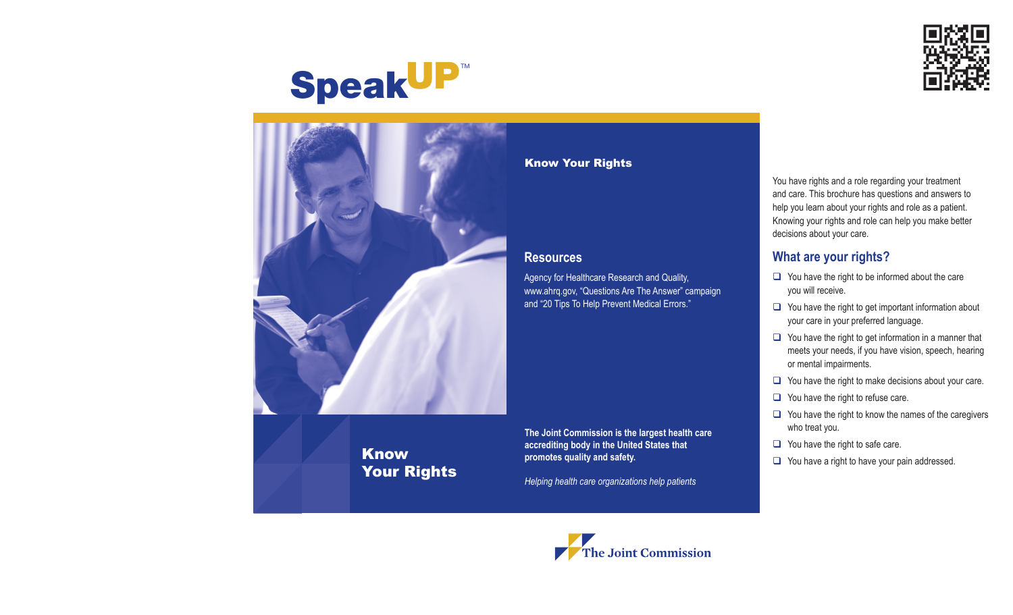

# **SpeakUP™**



## Know Your Rights

**The Joint Commission is the largest health care accrediting body in the United States that promotes quality and safety.**

Agency for Healthcare Research and Quality,

www.ahrq.gov, "Questions Are The Answer" campaign and "20 Tips To Help Prevent Medical Errors."

Know Your Rights

**Resources**

*Helping health care organizations help patients*

You have rights and a role regarding your treatment and care. This brochure has questions and answers to help you learn about your rights and role as a patient. Knowing your rights and role can help you make better decisions about your care.

#### **What are your rights?**

- $\Box$  You have the right to be informed about the care you will receive.
- $\Box$  You have the right to get important information about your care in your preferred language.
- $\Box$  You have the right to get information in a manner that meets your needs, if you have vision, speech, hearing or mental impairments.
- $\Box$  You have the right to make decisions about your care.
- $\Box$  You have the right to refuse care.
- $\Box$  You have the right to know the names of the caregivers who treat you.
- $\Box$  You have the right to safe care.
- $\Box$  You have a right to have your pain addressed.